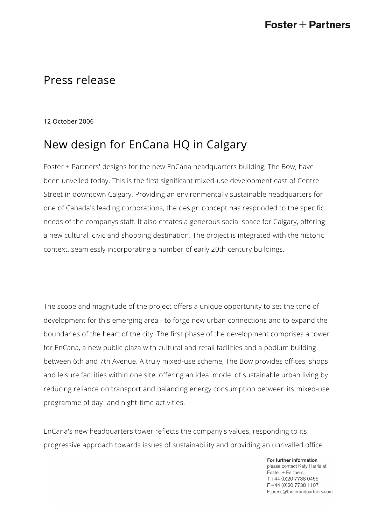## Press release

12 October 2006

## New design for EnCana HQ in Calgary

Foster + Partners' designs for the new EnCana headquarters building, The Bow, have been unveiled today. This is the first significant mixed-use development east of Centre Street in downtown Calgary. Providing an environmentally sustainable headquarters for one of Canada's leading corporations, the design concept has responded to the specific needs of the companys staff. It also creates a generous social space for Calgary, offering a new cultural, civic and shopping destination. The project is integrated with the historic context, seamlessly incorporating a number of early 20th century buildings.

The scope and magnitude of the project offers a unique opportunity to set the tone of development for this emerging area - to forge new urban connections and to expand the boundaries of the heart of the city. The first phase of the development comprises a tower for EnCana, a new public plaza with cultural and retail facilities and a podium building between 6th and 7th Avenue. A truly mixed-use scheme, The Bow provides offices, shops and leisure facilities within one site, offering an ideal model of sustainable urban living by reducing reliance on transport and balancing energy consumption between its mixed-use programme of day- and night-time activities.

EnCana's new headquarters tower reflects the company's values, responding to its progressive approach towards issues of sustainability and providing an unrivalled office

> For further information please contact Katy Harris at Foster + Partners, T +44 (0)20 7738 0455 F +44 (0)20 7738 1107 E press@fosterandpartners.com